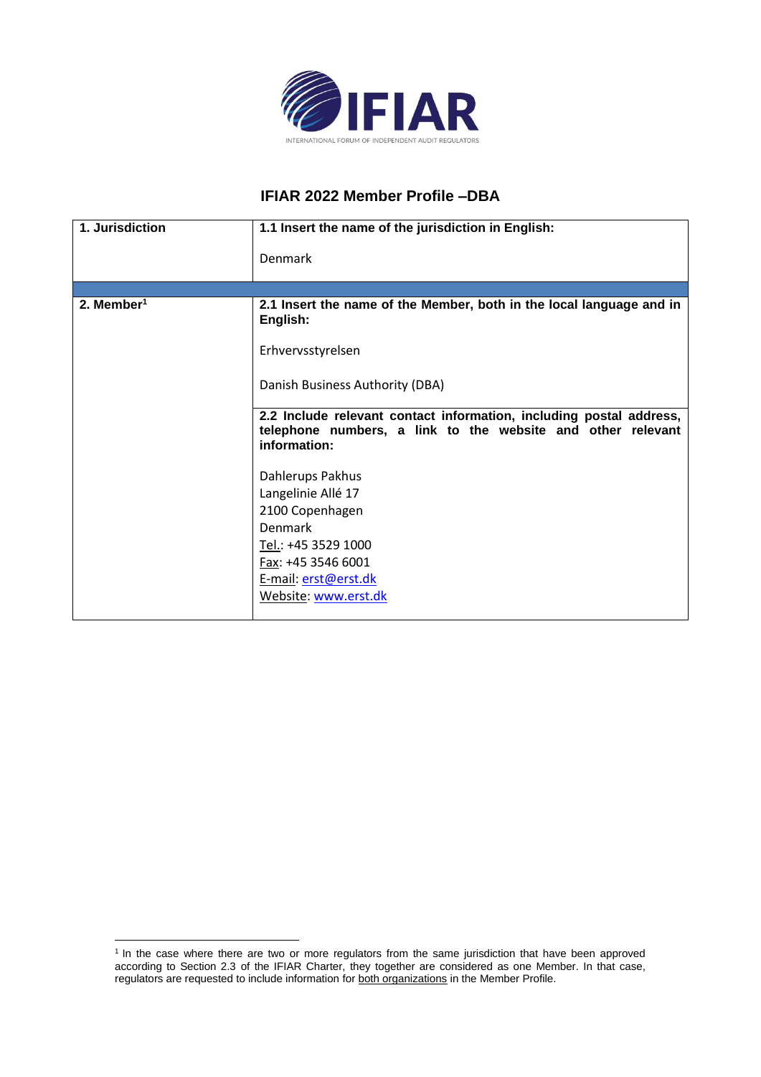

## **IFIAR 2022 Member Profile –DBA**

| 1. Jurisdiction        | 1.1 Insert the name of the jurisdiction in English:                                                                                                                      |
|------------------------|--------------------------------------------------------------------------------------------------------------------------------------------------------------------------|
|                        | Denmark                                                                                                                                                                  |
|                        |                                                                                                                                                                          |
| 2. Member <sup>1</sup> | 2.1 Insert the name of the Member, both in the local language and in<br>English:                                                                                         |
|                        | Erhvervsstyrelsen                                                                                                                                                        |
|                        | Danish Business Authority (DBA)                                                                                                                                          |
|                        | 2.2 Include relevant contact information, including postal address,<br>telephone numbers, a link to the website and other relevant<br>information:                       |
|                        | Dahlerups Pakhus<br>Langelinie Allé 17<br>2100 Copenhagen<br><b>Denmark</b><br>Tel.: +45 3529 1000<br>Fax: +45 3546 6001<br>E-mail: erst@erst.dk<br>Website: www.erst.dk |

<sup>&</sup>lt;sup>1</sup> In the case where there are two or more regulators from the same jurisdiction that have been approved according to Section 2.3 of the IFIAR Charter, they together are considered as one Member. In that case, regulators are requested to include information for both organizations in the Member Profile.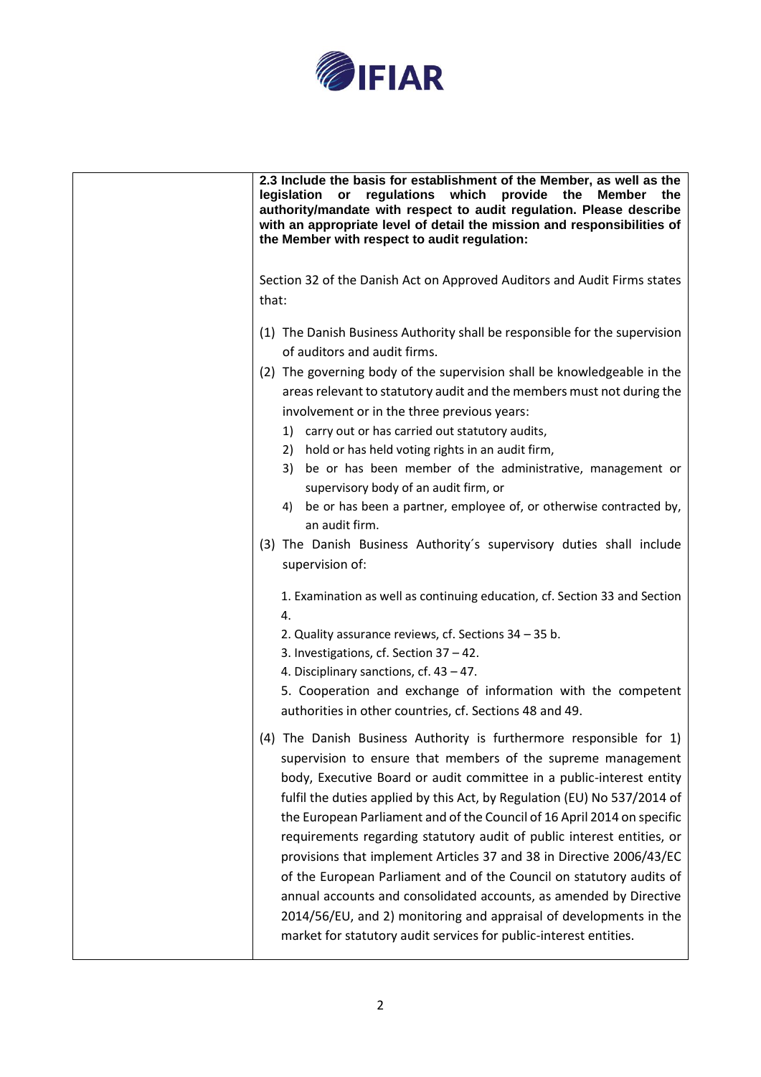

| 2.3 Include the basis for establishment of the Member, as well as the<br>provide the Member<br>legislation or<br>regulations which<br>the<br>authority/mandate with respect to audit regulation. Please describe<br>with an appropriate level of detail the mission and responsibilities of<br>the Member with respect to audit regulation:                                                                                                                                                                                                                                                                                                                                                                                                                                                                   |  |
|---------------------------------------------------------------------------------------------------------------------------------------------------------------------------------------------------------------------------------------------------------------------------------------------------------------------------------------------------------------------------------------------------------------------------------------------------------------------------------------------------------------------------------------------------------------------------------------------------------------------------------------------------------------------------------------------------------------------------------------------------------------------------------------------------------------|--|
| Section 32 of the Danish Act on Approved Auditors and Audit Firms states<br>that:                                                                                                                                                                                                                                                                                                                                                                                                                                                                                                                                                                                                                                                                                                                             |  |
| (1) The Danish Business Authority shall be responsible for the supervision<br>of auditors and audit firms.<br>(2) The governing body of the supervision shall be knowledgeable in the<br>areas relevant to statutory audit and the members must not during the<br>involvement or in the three previous years:<br>1) carry out or has carried out statutory audits,<br>2) hold or has held voting rights in an audit firm,<br>3) be or has been member of the administrative, management or<br>supervisory body of an audit firm, or<br>4) be or has been a partner, employee of, or otherwise contracted by,<br>an audit firm.<br>(3) The Danish Business Authority's supervisory duties shall include<br>supervision of:<br>1. Examination as well as continuing education, cf. Section 33 and Section<br>4. |  |
| 2. Quality assurance reviews, cf. Sections 34 - 35 b.<br>3. Investigations, cf. Section 37 - 42.<br>4. Disciplinary sanctions, cf. $43 - 47$ .<br>5. Cooperation and exchange of information with the competent<br>authorities in other countries, cf. Sections 48 and 49.                                                                                                                                                                                                                                                                                                                                                                                                                                                                                                                                    |  |
| (4) The Danish Business Authority is furthermore responsible for 1)<br>supervision to ensure that members of the supreme management<br>body, Executive Board or audit committee in a public-interest entity<br>fulfil the duties applied by this Act, by Regulation (EU) No 537/2014 of<br>the European Parliament and of the Council of 16 April 2014 on specific<br>requirements regarding statutory audit of public interest entities, or<br>provisions that implement Articles 37 and 38 in Directive 2006/43/EC<br>of the European Parliament and of the Council on statutory audits of<br>annual accounts and consolidated accounts, as amended by Directive<br>2014/56/EU, and 2) monitoring and appraisal of developments in the<br>market for statutory audit services for public-interest entities. |  |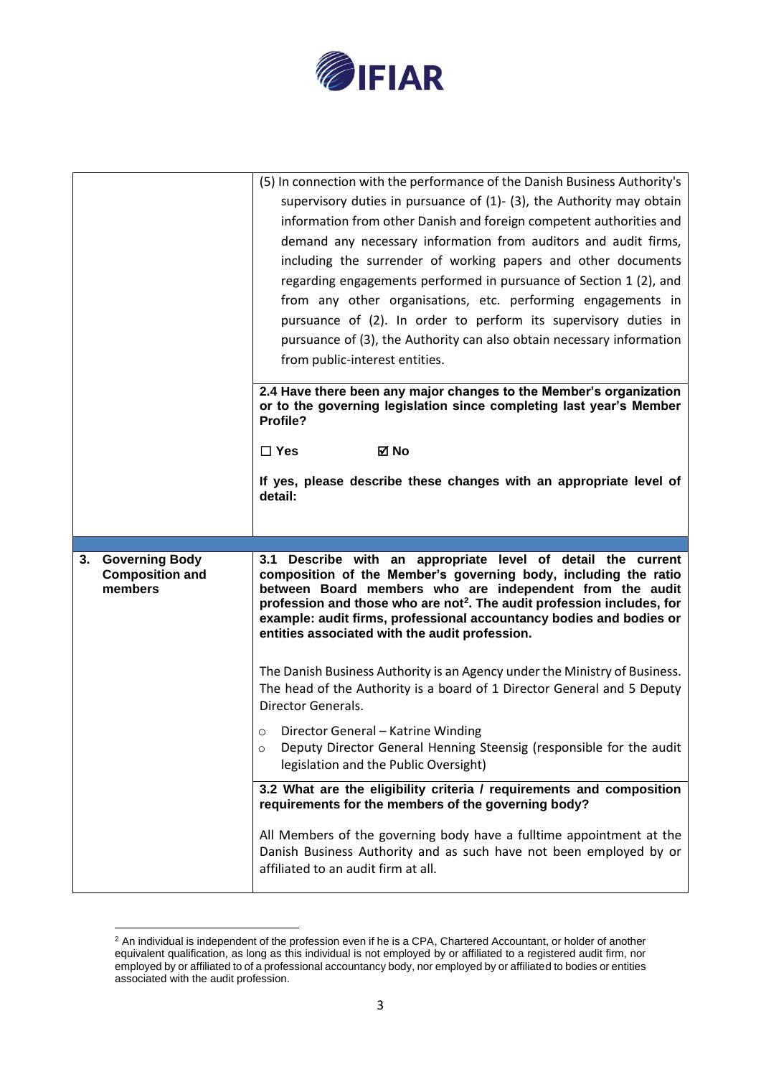

|                                                                  | (5) In connection with the performance of the Danish Business Authority's<br>supervisory duties in pursuance of $(1)$ - $(3)$ , the Authority may obtain<br>information from other Danish and foreign competent authorities and<br>demand any necessary information from auditors and audit firms,<br>including the surrender of working papers and other documents<br>regarding engagements performed in pursuance of Section 1 (2), and<br>from any other organisations, etc. performing engagements in<br>pursuance of (2). In order to perform its supervisory duties in<br>pursuance of (3), the Authority can also obtain necessary information<br>from public-interest entities.<br>2.4 Have there been any major changes to the Member's organization<br>or to the governing legislation since completing last year's Member<br>Profile?<br><b>⊠</b> No<br>$\square$ Yes |
|------------------------------------------------------------------|----------------------------------------------------------------------------------------------------------------------------------------------------------------------------------------------------------------------------------------------------------------------------------------------------------------------------------------------------------------------------------------------------------------------------------------------------------------------------------------------------------------------------------------------------------------------------------------------------------------------------------------------------------------------------------------------------------------------------------------------------------------------------------------------------------------------------------------------------------------------------------|
|                                                                  | If yes, please describe these changes with an appropriate level of<br>detail:                                                                                                                                                                                                                                                                                                                                                                                                                                                                                                                                                                                                                                                                                                                                                                                                    |
|                                                                  |                                                                                                                                                                                                                                                                                                                                                                                                                                                                                                                                                                                                                                                                                                                                                                                                                                                                                  |
|                                                                  |                                                                                                                                                                                                                                                                                                                                                                                                                                                                                                                                                                                                                                                                                                                                                                                                                                                                                  |
| <b>Governing Body</b><br>3.<br><b>Composition and</b><br>members | 3.1 Describe with an appropriate level of detail the current<br>composition of the Member's governing body, including the ratio<br>between Board members who are independent from the audit<br>profession and those who are not <sup>2</sup> . The audit profession includes, for<br>example: audit firms, professional accountancy bodies and bodies or<br>entities associated with the audit profession.                                                                                                                                                                                                                                                                                                                                                                                                                                                                       |
|                                                                  | The Danish Business Authority is an Agency under the Ministry of Business.<br>The head of the Authority is a board of 1 Director General and 5 Deputy<br>Director Generals.                                                                                                                                                                                                                                                                                                                                                                                                                                                                                                                                                                                                                                                                                                      |
|                                                                  | Director General - Katrine Winding<br>O<br>Deputy Director General Henning Steensig (responsible for the audit<br>$\circ$<br>legislation and the Public Oversight)                                                                                                                                                                                                                                                                                                                                                                                                                                                                                                                                                                                                                                                                                                               |
|                                                                  | 3.2 What are the eligibility criteria / requirements and composition<br>requirements for the members of the governing body?                                                                                                                                                                                                                                                                                                                                                                                                                                                                                                                                                                                                                                                                                                                                                      |

 $2$  An individual is independent of the profession even if he is a CPA, Chartered Accountant, or holder of another equivalent qualification, as long as this individual is not employed by or affiliated to a registered audit firm, nor employed by or affiliated to of a professional accountancy body, nor employed by or affiliated to bodies or entities associated with the audit profession.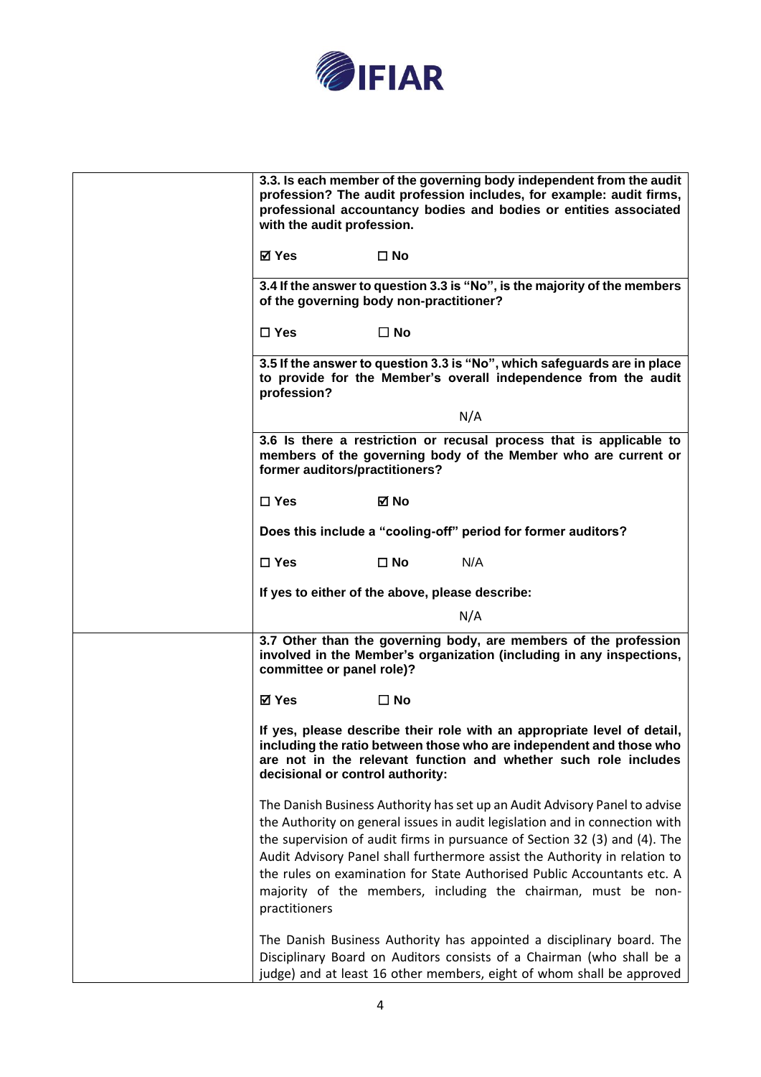

| 3.3. Is each member of the governing body independent from the audit<br>profession? The audit profession includes, for example: audit firms,<br>professional accountancy bodies and bodies or entities associated<br>with the audit profession.                                                                                                                                                                                                                                    |
|------------------------------------------------------------------------------------------------------------------------------------------------------------------------------------------------------------------------------------------------------------------------------------------------------------------------------------------------------------------------------------------------------------------------------------------------------------------------------------|
| ⊠ Yes<br>$\square$ No                                                                                                                                                                                                                                                                                                                                                                                                                                                              |
| 3.4 If the answer to question 3.3 is "No", is the majority of the members<br>of the governing body non-practitioner?                                                                                                                                                                                                                                                                                                                                                               |
| $\Box$ Yes<br>$\Box$ No                                                                                                                                                                                                                                                                                                                                                                                                                                                            |
| 3.5 If the answer to question 3.3 is "No", which safeguards are in place<br>to provide for the Member's overall independence from the audit<br>profession?                                                                                                                                                                                                                                                                                                                         |
| N/A                                                                                                                                                                                                                                                                                                                                                                                                                                                                                |
| 3.6 Is there a restriction or recusal process that is applicable to<br>members of the governing body of the Member who are current or<br>former auditors/practitioners?                                                                                                                                                                                                                                                                                                            |
| $\square$ Yes<br>⊠ No                                                                                                                                                                                                                                                                                                                                                                                                                                                              |
| Does this include a "cooling-off" period for former auditors?                                                                                                                                                                                                                                                                                                                                                                                                                      |
| $\square$ Yes<br>$\square$ No<br>N/A                                                                                                                                                                                                                                                                                                                                                                                                                                               |
| If yes to either of the above, please describe:                                                                                                                                                                                                                                                                                                                                                                                                                                    |
| N/A                                                                                                                                                                                                                                                                                                                                                                                                                                                                                |
| 3.7 Other than the governing body, are members of the profession<br>involved in the Member's organization (including in any inspections,<br>committee or panel role)?                                                                                                                                                                                                                                                                                                              |
| <b>⊠</b> Yes<br>$\square$ No                                                                                                                                                                                                                                                                                                                                                                                                                                                       |
| If yes, please describe their role with an appropriate level of detail,<br>including the ratio between those who are independent and those who<br>are not in the relevant function and whether such role includes<br>decisional or control authority:                                                                                                                                                                                                                              |
| The Danish Business Authority has set up an Audit Advisory Panel to advise<br>the Authority on general issues in audit legislation and in connection with<br>the supervision of audit firms in pursuance of Section 32 (3) and (4). The<br>Audit Advisory Panel shall furthermore assist the Authority in relation to<br>the rules on examination for State Authorised Public Accountants etc. A<br>majority of the members, including the chairman, must be non-<br>practitioners |
| The Danish Business Authority has appointed a disciplinary board. The<br>Disciplinary Board on Auditors consists of a Chairman (who shall be a<br>judge) and at least 16 other members, eight of whom shall be approved                                                                                                                                                                                                                                                            |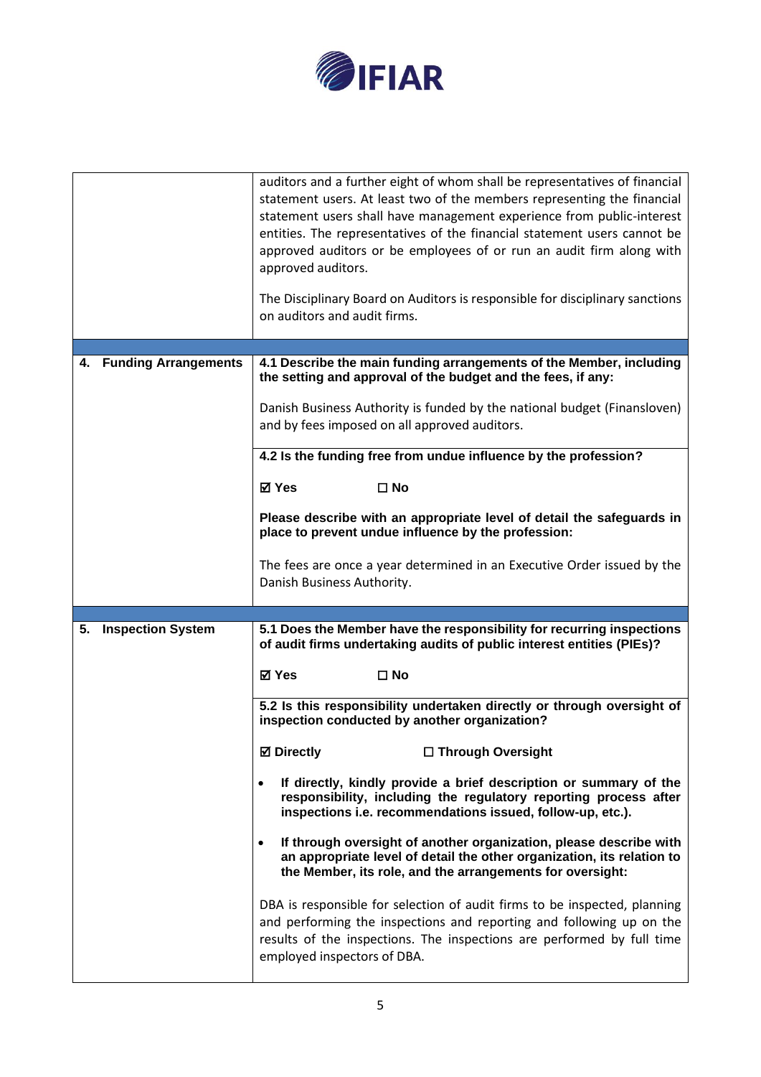

|                                | auditors and a further eight of whom shall be representatives of financial<br>statement users. At least two of the members representing the financial<br>statement users shall have management experience from public-interest<br>entities. The representatives of the financial statement users cannot be<br>approved auditors or be employees of or run an audit firm along with<br>approved auditors. |  |
|--------------------------------|----------------------------------------------------------------------------------------------------------------------------------------------------------------------------------------------------------------------------------------------------------------------------------------------------------------------------------------------------------------------------------------------------------|--|
|                                | The Disciplinary Board on Auditors is responsible for disciplinary sanctions<br>on auditors and audit firms.                                                                                                                                                                                                                                                                                             |  |
|                                |                                                                                                                                                                                                                                                                                                                                                                                                          |  |
| 4. Funding Arrangements        | 4.1 Describe the main funding arrangements of the Member, including<br>the setting and approval of the budget and the fees, if any:                                                                                                                                                                                                                                                                      |  |
|                                | Danish Business Authority is funded by the national budget (Finansloven)<br>and by fees imposed on all approved auditors.                                                                                                                                                                                                                                                                                |  |
|                                | 4.2 Is the funding free from undue influence by the profession?                                                                                                                                                                                                                                                                                                                                          |  |
|                                | ⊠ Yes<br>$\square$ No                                                                                                                                                                                                                                                                                                                                                                                    |  |
|                                | Please describe with an appropriate level of detail the safeguards in<br>place to prevent undue influence by the profession:                                                                                                                                                                                                                                                                             |  |
|                                | The fees are once a year determined in an Executive Order issued by the<br>Danish Business Authority.                                                                                                                                                                                                                                                                                                    |  |
|                                |                                                                                                                                                                                                                                                                                                                                                                                                          |  |
| <b>Inspection System</b><br>5. | 5.1 Does the Member have the responsibility for recurring inspections<br>of audit firms undertaking audits of public interest entities (PIEs)?                                                                                                                                                                                                                                                           |  |
|                                | <b>⊠</b> Yes<br>$\square$ No                                                                                                                                                                                                                                                                                                                                                                             |  |
|                                | 5.2 Is this responsibility undertaken directly or through oversight of<br>inspection conducted by another organization?                                                                                                                                                                                                                                                                                  |  |
|                                | <b>Ø</b> Directly<br>□ Through Oversight                                                                                                                                                                                                                                                                                                                                                                 |  |
|                                | If directly, kindly provide a brief description or summary of the<br>$\bullet$<br>responsibility, including the regulatory reporting process after<br>inspections i.e. recommendations issued, follow-up, etc.).                                                                                                                                                                                         |  |
|                                | If through oversight of another organization, please describe with<br>$\bullet$<br>an appropriate level of detail the other organization, its relation to<br>the Member, its role, and the arrangements for oversight:                                                                                                                                                                                   |  |
|                                | DBA is responsible for selection of audit firms to be inspected, planning<br>and performing the inspections and reporting and following up on the<br>results of the inspections. The inspections are performed by full time<br>employed inspectors of DBA.                                                                                                                                               |  |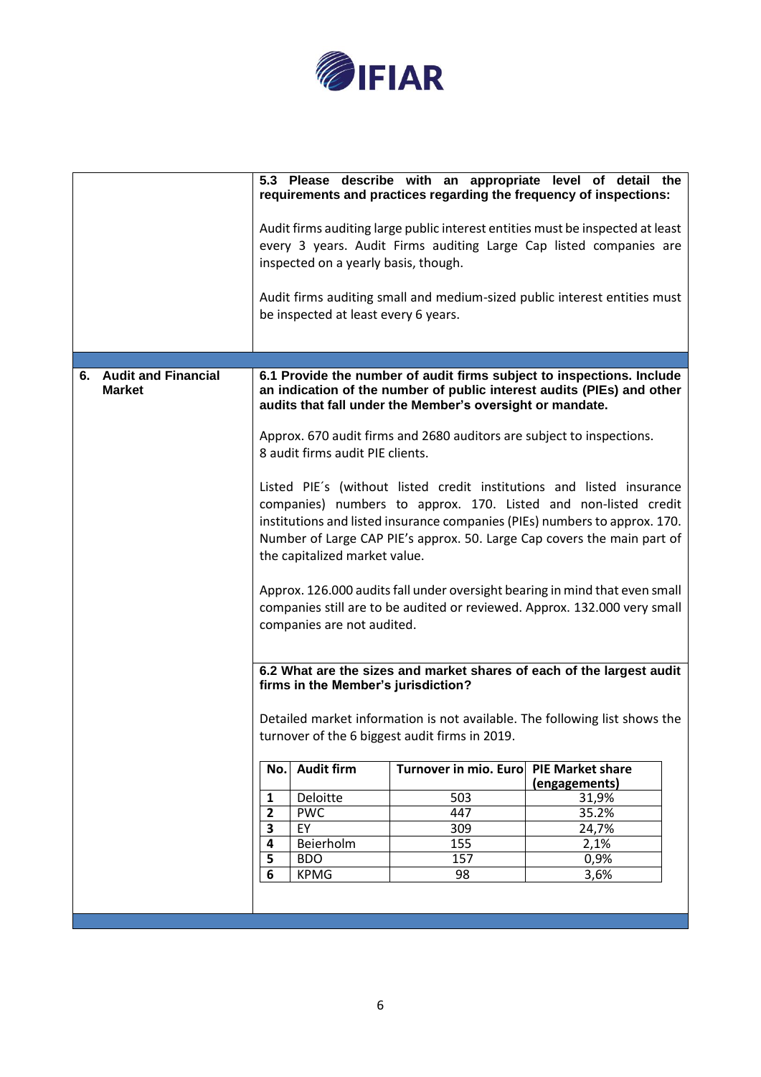

|                                         |                                                                                                                                                                                                                                                                                                                                                                                                                                                                                                                              |                                                                                                                                                                                                              |                              | 5.3 Please describe with an appropriate level of detail the<br>requirements and practices regarding the frequency of inspections:                    |
|-----------------------------------------|------------------------------------------------------------------------------------------------------------------------------------------------------------------------------------------------------------------------------------------------------------------------------------------------------------------------------------------------------------------------------------------------------------------------------------------------------------------------------------------------------------------------------|--------------------------------------------------------------------------------------------------------------------------------------------------------------------------------------------------------------|------------------------------|------------------------------------------------------------------------------------------------------------------------------------------------------|
|                                         |                                                                                                                                                                                                                                                                                                                                                                                                                                                                                                                              | inspected on a yearly basis, though.                                                                                                                                                                         |                              | Audit firms auditing large public interest entities must be inspected at least<br>every 3 years. Audit Firms auditing Large Cap listed companies are |
|                                         |                                                                                                                                                                                                                                                                                                                                                                                                                                                                                                                              | be inspected at least every 6 years.                                                                                                                                                                         |                              | Audit firms auditing small and medium-sized public interest entities must                                                                            |
|                                         |                                                                                                                                                                                                                                                                                                                                                                                                                                                                                                                              |                                                                                                                                                                                                              |                              |                                                                                                                                                      |
| 6. Audit and Financial<br><b>Market</b> |                                                                                                                                                                                                                                                                                                                                                                                                                                                                                                                              | 6.1 Provide the number of audit firms subject to inspections. Include<br>an indication of the number of public interest audits (PIEs) and other<br>audits that fall under the Member's oversight or mandate. |                              |                                                                                                                                                      |
|                                         | Approx. 670 audit firms and 2680 auditors are subject to inspections.<br>8 audit firms audit PIE clients.                                                                                                                                                                                                                                                                                                                                                                                                                    |                                                                                                                                                                                                              |                              |                                                                                                                                                      |
|                                         | Listed PIE's (without listed credit institutions and listed insurance<br>companies) numbers to approx. 170. Listed and non-listed credit<br>institutions and listed insurance companies (PIEs) numbers to approx. 170.<br>Number of Large CAP PIE's approx. 50. Large Cap covers the main part of<br>the capitalized market value.<br>Approx. 126.000 audits fall under oversight bearing in mind that even small<br>companies still are to be audited or reviewed. Approx. 132.000 very small<br>companies are not audited. |                                                                                                                                                                                                              |                              |                                                                                                                                                      |
|                                         | 6.2 What are the sizes and market shares of each of the largest audit<br>firms in the Member's jurisdiction?                                                                                                                                                                                                                                                                                                                                                                                                                 |                                                                                                                                                                                                              |                              |                                                                                                                                                      |
|                                         | Detailed market information is not available. The following list shows the<br>turnover of the 6 biggest audit firms in 2019.                                                                                                                                                                                                                                                                                                                                                                                                 |                                                                                                                                                                                                              |                              |                                                                                                                                                      |
|                                         | No.                                                                                                                                                                                                                                                                                                                                                                                                                                                                                                                          | <b>Audit firm</b>                                                                                                                                                                                            | <b>Turnover in mio. Euro</b> | <b>PIE Market share</b><br>(engagements)                                                                                                             |
|                                         | 1                                                                                                                                                                                                                                                                                                                                                                                                                                                                                                                            | Deloitte                                                                                                                                                                                                     | 503                          | 31,9%                                                                                                                                                |
|                                         | $\mathbf{2}$                                                                                                                                                                                                                                                                                                                                                                                                                                                                                                                 | <b>PWC</b>                                                                                                                                                                                                   | 447                          | 35.2%                                                                                                                                                |
|                                         | 3                                                                                                                                                                                                                                                                                                                                                                                                                                                                                                                            | EY                                                                                                                                                                                                           | 309                          | 24,7%                                                                                                                                                |
|                                         | 4                                                                                                                                                                                                                                                                                                                                                                                                                                                                                                                            | Beierholm                                                                                                                                                                                                    | 155                          | 2,1%                                                                                                                                                 |
|                                         | 5<br>$\overline{6}$                                                                                                                                                                                                                                                                                                                                                                                                                                                                                                          | <b>BDO</b>                                                                                                                                                                                                   | 157                          | 0,9%                                                                                                                                                 |
|                                         |                                                                                                                                                                                                                                                                                                                                                                                                                                                                                                                              | <b>KPMG</b>                                                                                                                                                                                                  | 98                           | 3,6%                                                                                                                                                 |
|                                         |                                                                                                                                                                                                                                                                                                                                                                                                                                                                                                                              |                                                                                                                                                                                                              |                              |                                                                                                                                                      |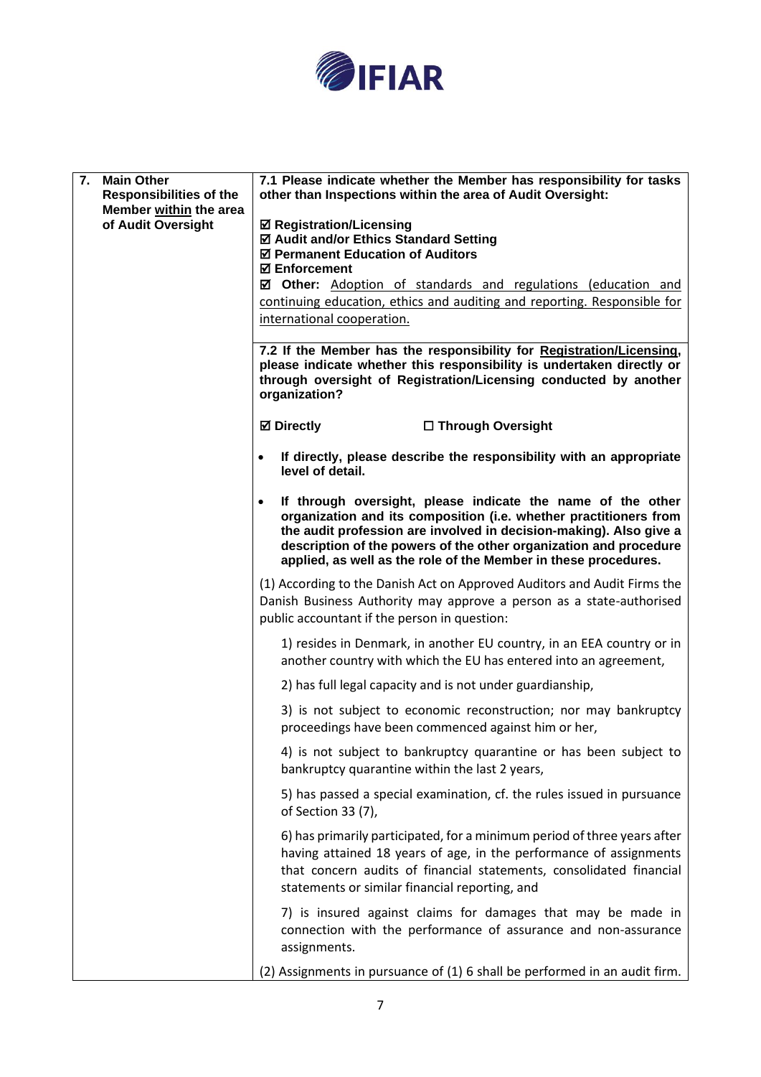

| 7.<br><b>Main Other</b><br><b>Responsibilities of the</b><br>Member within the area<br>of Audit Oversight | 7.1 Please indicate whether the Member has responsibility for tasks<br>other than Inspections within the area of Audit Oversight:<br><b>Ø Registration/Licensing</b><br>☑ Audit and/or Ethics Standard Setting<br>☑ Permanent Education of Auditors<br><b>☑ Enforcement</b><br>☑ Other: Adoption of standards and regulations (education and<br>continuing education, ethics and auditing and reporting. Responsible for<br>international cooperation.<br>7.2 If the Member has the responsibility for Registration/Licensing,<br>please indicate whether this responsibility is undertaken directly or<br>through oversight of Registration/Licensing conducted by another |  |  |
|-----------------------------------------------------------------------------------------------------------|-----------------------------------------------------------------------------------------------------------------------------------------------------------------------------------------------------------------------------------------------------------------------------------------------------------------------------------------------------------------------------------------------------------------------------------------------------------------------------------------------------------------------------------------------------------------------------------------------------------------------------------------------------------------------------|--|--|
|                                                                                                           | organization?<br><b>Ø</b> Directly<br>□ Through Oversight                                                                                                                                                                                                                                                                                                                                                                                                                                                                                                                                                                                                                   |  |  |
|                                                                                                           | If directly, please describe the responsibility with an appropriate<br>level of detail.                                                                                                                                                                                                                                                                                                                                                                                                                                                                                                                                                                                     |  |  |
|                                                                                                           | If through oversight, please indicate the name of the other<br>organization and its composition (i.e. whether practitioners from<br>the audit profession are involved in decision-making). Also give a<br>description of the powers of the other organization and procedure<br>applied, as well as the role of the Member in these procedures.                                                                                                                                                                                                                                                                                                                              |  |  |
|                                                                                                           | (1) According to the Danish Act on Approved Auditors and Audit Firms the<br>Danish Business Authority may approve a person as a state-authorised<br>public accountant if the person in question:                                                                                                                                                                                                                                                                                                                                                                                                                                                                            |  |  |
|                                                                                                           | 1) resides in Denmark, in another EU country, in an EEA country or in<br>another country with which the EU has entered into an agreement,                                                                                                                                                                                                                                                                                                                                                                                                                                                                                                                                   |  |  |
|                                                                                                           | 2) has full legal capacity and is not under guardianship,                                                                                                                                                                                                                                                                                                                                                                                                                                                                                                                                                                                                                   |  |  |
|                                                                                                           | 3) is not subject to economic reconstruction; nor may bankruptcy<br>proceedings have been commenced against him or her,                                                                                                                                                                                                                                                                                                                                                                                                                                                                                                                                                     |  |  |
|                                                                                                           | 4) is not subject to bankruptcy quarantine or has been subject to<br>bankruptcy quarantine within the last 2 years,                                                                                                                                                                                                                                                                                                                                                                                                                                                                                                                                                         |  |  |
|                                                                                                           | 5) has passed a special examination, cf. the rules issued in pursuance<br>of Section 33 (7),                                                                                                                                                                                                                                                                                                                                                                                                                                                                                                                                                                                |  |  |
|                                                                                                           | 6) has primarily participated, for a minimum period of three years after<br>having attained 18 years of age, in the performance of assignments<br>that concern audits of financial statements, consolidated financial<br>statements or similar financial reporting, and                                                                                                                                                                                                                                                                                                                                                                                                     |  |  |
|                                                                                                           | 7) is insured against claims for damages that may be made in<br>connection with the performance of assurance and non-assurance<br>assignments.                                                                                                                                                                                                                                                                                                                                                                                                                                                                                                                              |  |  |
|                                                                                                           | (2) Assignments in pursuance of (1) 6 shall be performed in an audit firm.                                                                                                                                                                                                                                                                                                                                                                                                                                                                                                                                                                                                  |  |  |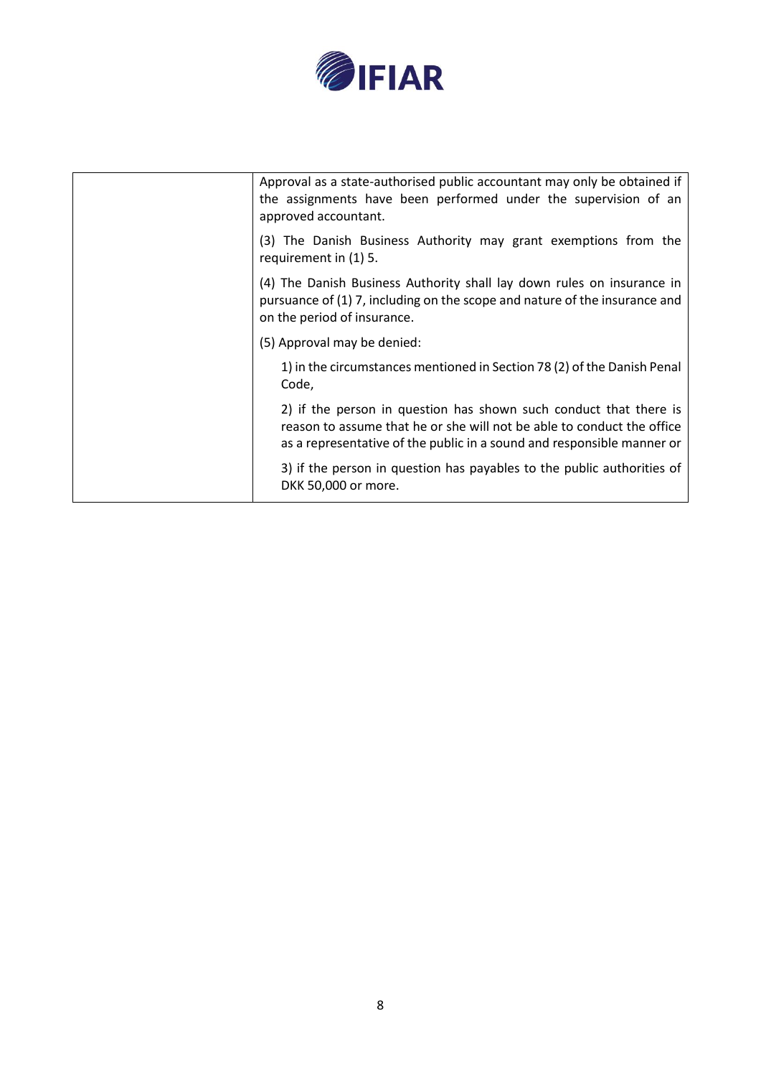

| Approval as a state-authorised public accountant may only be obtained if<br>the assignments have been performed under the supervision of an<br>approved accountant.                                                   |
|-----------------------------------------------------------------------------------------------------------------------------------------------------------------------------------------------------------------------|
| (3) The Danish Business Authority may grant exemptions from the<br>requirement in (1) 5.                                                                                                                              |
| (4) The Danish Business Authority shall lay down rules on insurance in<br>pursuance of (1) 7, including on the scope and nature of the insurance and<br>on the period of insurance.                                   |
| (5) Approval may be denied:                                                                                                                                                                                           |
| 1) in the circumstances mentioned in Section 78 (2) of the Danish Penal<br>Code,                                                                                                                                      |
| 2) if the person in question has shown such conduct that there is<br>reason to assume that he or she will not be able to conduct the office<br>as a representative of the public in a sound and responsible manner or |
| 3) if the person in question has payables to the public authorities of<br>DKK 50,000 or more.                                                                                                                         |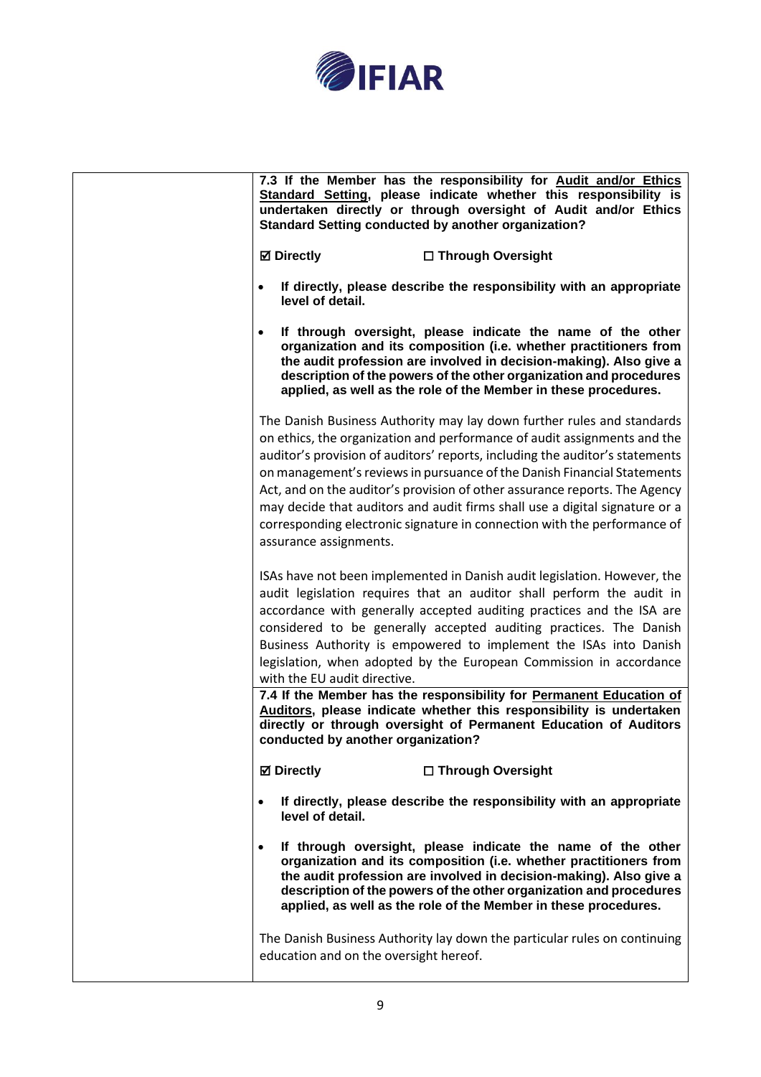

|                                        | 7.3 If the Member has the responsibility for Audit and/or Ethics<br>Standard Setting, please indicate whether this responsibility is<br>undertaken directly or through oversight of Audit and/or Ethics<br><b>Standard Setting conducted by another organization?</b>                                                                                                                                                                                                                                                                                  |
|----------------------------------------|--------------------------------------------------------------------------------------------------------------------------------------------------------------------------------------------------------------------------------------------------------------------------------------------------------------------------------------------------------------------------------------------------------------------------------------------------------------------------------------------------------------------------------------------------------|
| <b>⊠</b> Directly                      | □ Through Oversight                                                                                                                                                                                                                                                                                                                                                                                                                                                                                                                                    |
| $\bullet$<br>level of detail.          | If directly, please describe the responsibility with an appropriate                                                                                                                                                                                                                                                                                                                                                                                                                                                                                    |
|                                        | If through oversight, please indicate the name of the other<br>organization and its composition (i.e. whether practitioners from<br>the audit profession are involved in decision-making). Also give a<br>description of the powers of the other organization and procedures<br>applied, as well as the role of the Member in these procedures.                                                                                                                                                                                                        |
| assurance assignments.                 | The Danish Business Authority may lay down further rules and standards<br>on ethics, the organization and performance of audit assignments and the<br>auditor's provision of auditors' reports, including the auditor's statements<br>on management's reviews in pursuance of the Danish Financial Statements<br>Act, and on the auditor's provision of other assurance reports. The Agency<br>may decide that auditors and audit firms shall use a digital signature or a<br>corresponding electronic signature in connection with the performance of |
| with the EU audit directive.           | ISAs have not been implemented in Danish audit legislation. However, the<br>audit legislation requires that an auditor shall perform the audit in<br>accordance with generally accepted auditing practices and the ISA are<br>considered to be generally accepted auditing practices. The Danish<br>Business Authority is empowered to implement the ISAs into Danish<br>legislation, when adopted by the European Commission in accordance                                                                                                            |
| conducted by another organization?     | 7.4 If the Member has the responsibility for Permanent Education of<br>Auditors, please indicate whether this responsibility is undertaken<br>directly or through oversight of Permanent Education of Auditors                                                                                                                                                                                                                                                                                                                                         |
| <b>⊠</b> Directly                      | □ Through Oversight                                                                                                                                                                                                                                                                                                                                                                                                                                                                                                                                    |
| $\bullet$<br>level of detail.          | If directly, please describe the responsibility with an appropriate                                                                                                                                                                                                                                                                                                                                                                                                                                                                                    |
| $\bullet$                              | If through oversight, please indicate the name of the other<br>organization and its composition (i.e. whether practitioners from<br>the audit profession are involved in decision-making). Also give a<br>description of the powers of the other organization and procedures<br>applied, as well as the role of the Member in these procedures.                                                                                                                                                                                                        |
| education and on the oversight hereof. | The Danish Business Authority lay down the particular rules on continuing                                                                                                                                                                                                                                                                                                                                                                                                                                                                              |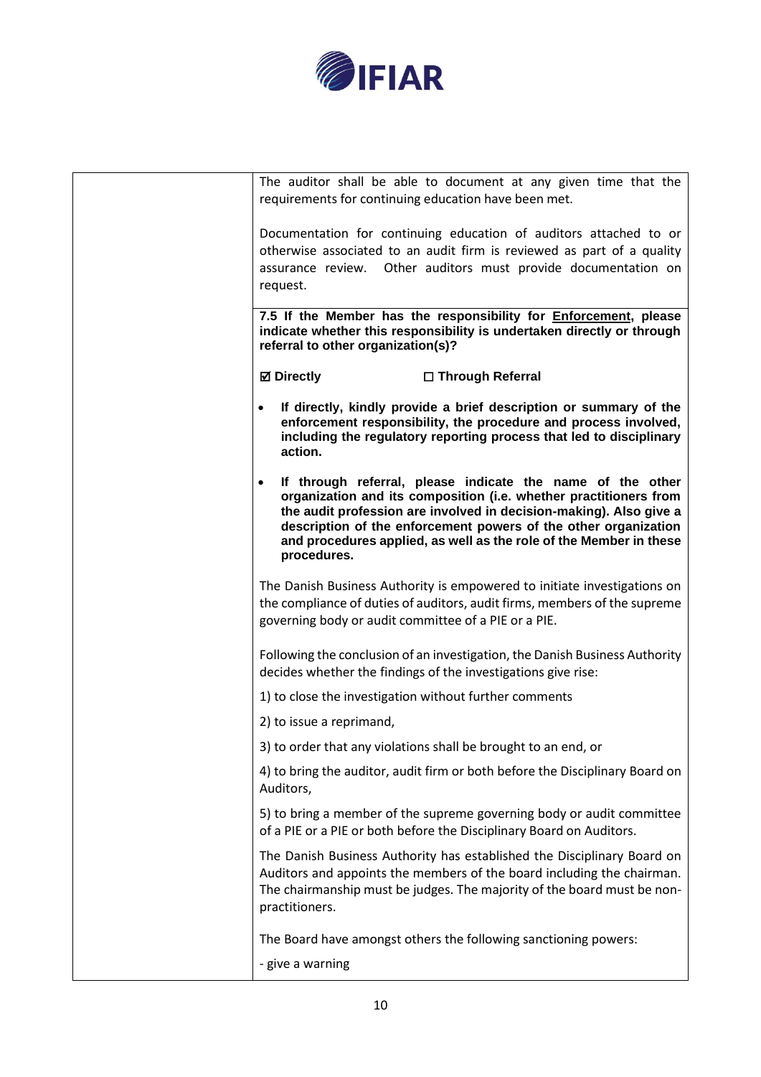

| The auditor shall be able to document at any given time that the<br>requirements for continuing education have been met.                                                                                                                                                                                                                                      |  |  |
|---------------------------------------------------------------------------------------------------------------------------------------------------------------------------------------------------------------------------------------------------------------------------------------------------------------------------------------------------------------|--|--|
| Documentation for continuing education of auditors attached to or<br>otherwise associated to an audit firm is reviewed as part of a quality<br>assurance review. Other auditors must provide documentation on<br>request.                                                                                                                                     |  |  |
| 7.5 If the Member has the responsibility for <b>Enforcement</b> , please<br>indicate whether this responsibility is undertaken directly or through<br>referral to other organization(s)?                                                                                                                                                                      |  |  |
| <b>Ø</b> Directly<br>□ Through Referral                                                                                                                                                                                                                                                                                                                       |  |  |
| If directly, kindly provide a brief description or summary of the<br>enforcement responsibility, the procedure and process involved,<br>including the regulatory reporting process that led to disciplinary<br>action.                                                                                                                                        |  |  |
| If through referral, please indicate the name of the other<br>organization and its composition (i.e. whether practitioners from<br>the audit profession are involved in decision-making). Also give a<br>description of the enforcement powers of the other organization<br>and procedures applied, as well as the role of the Member in these<br>procedures. |  |  |
| The Danish Business Authority is empowered to initiate investigations on<br>the compliance of duties of auditors, audit firms, members of the supreme<br>governing body or audit committee of a PIE or a PIE.                                                                                                                                                 |  |  |
| Following the conclusion of an investigation, the Danish Business Authority<br>decides whether the findings of the investigations give rise:                                                                                                                                                                                                                  |  |  |
| 1) to close the investigation without further comments                                                                                                                                                                                                                                                                                                        |  |  |
| 2) to issue a reprimand,                                                                                                                                                                                                                                                                                                                                      |  |  |
| 3) to order that any violations shall be brought to an end, or                                                                                                                                                                                                                                                                                                |  |  |
| 4) to bring the auditor, audit firm or both before the Disciplinary Board on<br>Auditors,                                                                                                                                                                                                                                                                     |  |  |
| 5) to bring a member of the supreme governing body or audit committee<br>of a PIE or a PIE or both before the Disciplinary Board on Auditors.                                                                                                                                                                                                                 |  |  |
| The Danish Business Authority has established the Disciplinary Board on<br>Auditors and appoints the members of the board including the chairman.<br>The chairmanship must be judges. The majority of the board must be non-<br>practitioners.                                                                                                                |  |  |
| The Board have amongst others the following sanctioning powers:                                                                                                                                                                                                                                                                                               |  |  |
| - give a warning                                                                                                                                                                                                                                                                                                                                              |  |  |